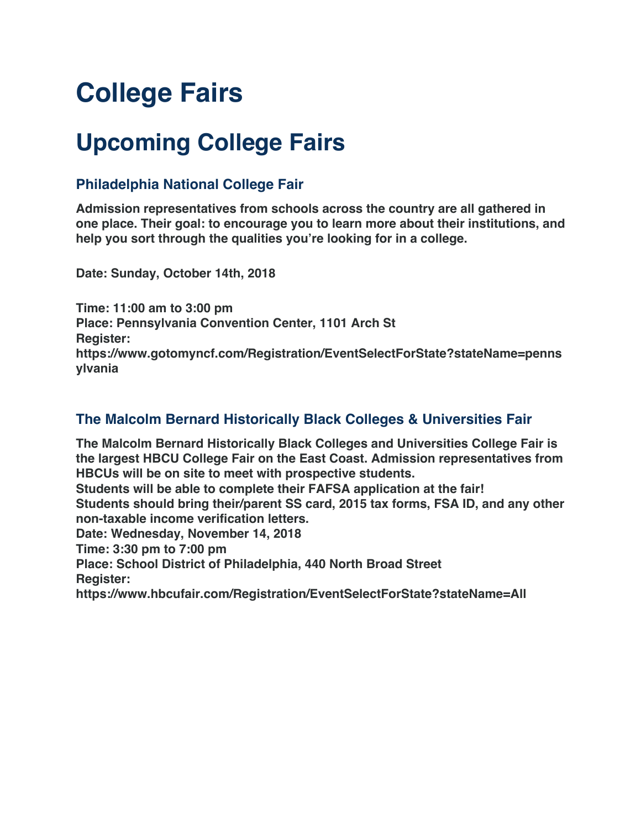# **College Fairs**

## **Upcoming College Fairs**

#### **Philadelphia National College Fair**

**Admission representatives from schools across the country are all gathered in one place. Their goal: to encourage you to learn more about their institutions, and help you sort through the qualities you're looking for in a college.**

**Date: Sunday, October 14th, 2018**

**Time: 11:00 am to 3:00 pm Place: Pennsylvania Convention Center, 1101 Arch St Register: https://www.gotomyncf.com/Registration/EventSelectForState?stateName=penns ylvania**

### **The Malcolm Bernard Historically Black Colleges & Universities Fair**

**The Malcolm Bernard Historically Black Colleges and Universities College Fair is the largest HBCU College Fair on the East Coast. Admission representatives from HBCUs will be on site to meet with prospective students. Students will be able to complete their FAFSA application at the fair!**

**Students should bring their/parent SS card, 2015 tax forms, FSA ID, and any other non-taxable income verification letters.**

**Date: Wednesday, November 14, 2018**

**Time: 3:30 pm to 7:00 pm**

**Place: School District of Philadelphia, 440 North Broad Street**

**Register:** 

**https://www.hbcufair.com/Registration/EventSelectForState?stateName=All**